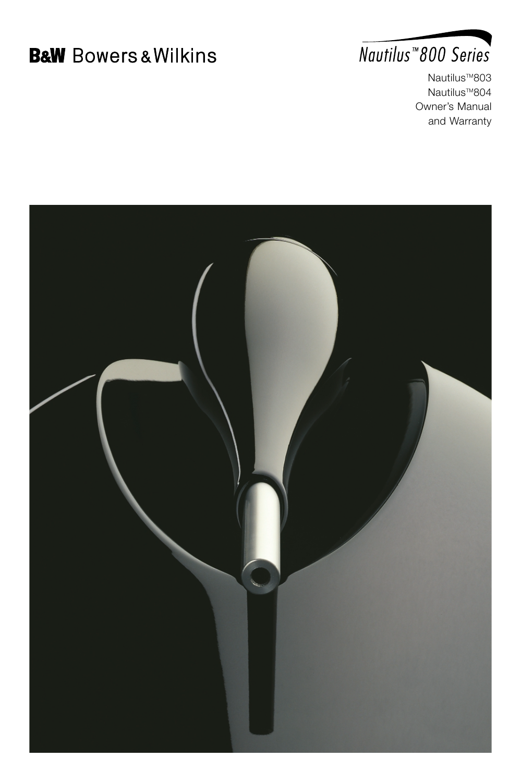# **B&W** Bowers & Wilkins



Nautilus<sup>™803</sup> Nautilus<sup>™804</sup> Owner's Manual and Warranty

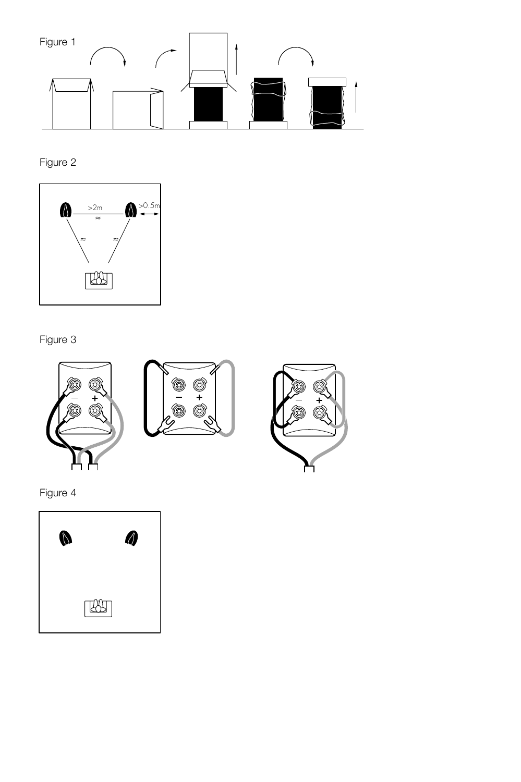

Figure 2



Figure 3



Figure 4

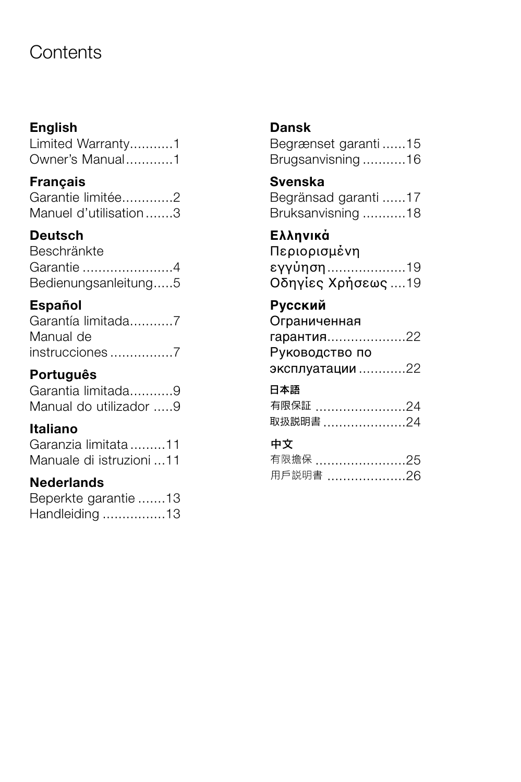## **Contents**

### **English**

Limited Warranty...........1 Owner's Manual............1

### **Français** Garantie limitée.............2

| Garanue limitee       |  |
|-----------------------|--|
| Manuel d'utilisation3 |  |

### **Deutsch**

| Beschränkte          |  |
|----------------------|--|
| Garantie 4           |  |
| Bedienungsanleitung5 |  |

### **Español**

| Garantía limitada7 |
|--------------------|
| Manual de          |
| instrucciones7     |

### **Português**

Garantia limitada...........9 Manual do utilizador .....9

### **Italiano**

Garanzia limitata .........11 Manuale di istruzioni ...11

### **Nederlands**

| Beperkte garantie 13 |  |
|----------------------|--|
| Handleiding 13       |  |

### **Dansk**

Begrænset garanti ......15 Brugsanvisning ...........16

### **Svenska**

| Begränsad garanti 17 |  |
|----------------------|--|
| Bruksanvisning 18    |  |

### **Ελληνικά**

| Περιορισμένη       |  |
|--------------------|--|
| εγγὐηση19          |  |
| Οδηγίες Χρήσεως 19 |  |

### **Русский**

Ограниченная гарантия....................22 Руководство по эксплуатации ............22

### 日本語

| 有限保証 24  |  |
|----------|--|
| 取扱説明書 24 |  |

### 中文

| 用戶説明書 |  |
|-------|--|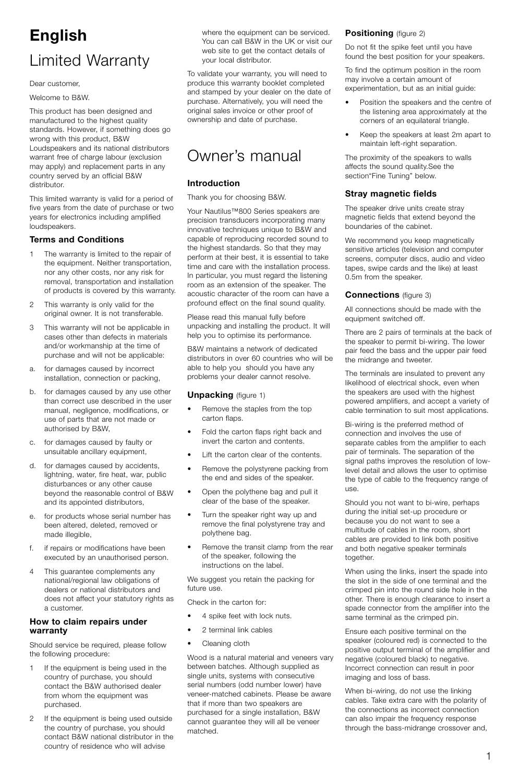## **English** Limited Warranty

Dear customer,

Welcome to B&W.

This product has been designed and manufactured to the highest quality standards. However, if something does go wrong with this product, B&W Loudspeakers and its national distributors warrant free of charge labour (exclusion may apply) and replacement parts in any country served by an official B&W distributor.

This limited warranty is valid for a period of five years from the date of purchase or two years for electronics including amplified loudspeakers.

#### **Terms and Conditions**

- 1 The warranty is limited to the repair of the equipment. Neither transportation, nor any other costs, nor any risk for removal, transportation and installation of products is covered by this warranty.
- 2 This warranty is only valid for the original owner. It is not transferable.
- 3 This warranty will not be applicable in cases other than defects in materials and/or workmanship at the time of purchase and will not be applicable:
- a. for damages caused by incorrect installation, connection or packing,
- b. for damages caused by any use other than correct use described in the user manual, negligence, modifications, or use of parts that are not made or authorised by B&W,
- c. for damages caused by faulty or unsuitable ancillary equipment,
- d. for damages caused by accidents, lightning, water, fire heat, war, public disturbances or any other cause beyond the reasonable control of B&W and its appointed distributors,
- e. for products whose serial number has been altered, deleted, removed or made illegible.
- f. if repairs or modifications have been executed by an unauthorised person.
- This guarantee complements any national/regional law obligations of dealers or national distributors and does not affect your statutory rights as a customer.

#### **How to claim repairs under warranty**

Should service be required, please follow the following procedure:

- 1 If the equipment is being used in the country of purchase, you should contact the B&W authorised dealer from whom the equipment was purchased.
- 2 If the equipment is being used outside the country of purchase, you should contact B&W national distributor in the country of residence who will advise

where the equipment can be serviced. You can call B&W in the UK or visit our web site to get the contact details of your local distributor.

To validate your warranty, you will need to produce this warranty booklet completed and stamped by your dealer on the date of purchase. Alternatively, you will need the original sales invoice or other proof of ownership and date of purchase.

## Owner's manual

#### **Introduction**

Thank you for choosing B&W.

Your Nautilus™800 Series speakers are precision transducers incorporating many innovative techniques unique to B&W and capable of reproducing recorded sound to the highest standards. So that they may perform at their best, it is essential to take time and care with the installation process. In particular, you must regard the listening room as an extension of the speaker. The acoustic character of the room can have a profound effect on the final sound quality.

Please read this manual fully before unpacking and installing the product. It will help you to optimise its performance.

B&W maintains a network of dedicated distributors in over 60 countries who will be able to help you should you have any problems your dealer cannot resolve.

#### **Unpacking** (figure 1)

- Remove the staples from the top carton flaps.
- Fold the carton flaps right back and invert the carton and contents.
- Lift the carton clear of the contents.
- Remove the polystyrene packing from the end and sides of the speaker.
- Open the polythene bag and pull it clear of the base of the speaker.
- Turn the speaker right way up and remove the final polystyrene tray and polythene bag.
- Remove the transit clamp from the rear of the speaker, following the instructions on the label.

We suggest you retain the packing for future use.

Check in the carton for:

- 4 spike feet with lock nuts.
- 2 terminal link cables
- Cleaning cloth

Wood is a natural material and veneers vary between batches. Although supplied as single units, systems with consecutive serial numbers (odd number lower) have veneer-matched cabinets. Please be aware that if more than two speakers are purchased for a single installation, B&W cannot guarantee they will all be veneer matched.

#### **Positioning** (figure 2)

Do not fit the spike feet until you have found the best position for your speakers.

To find the optimum position in the room may involve a certain amount of experimentation, but as an initial quide:

- Position the speakers and the centre of the listening area approximately at the corners of an equilateral triangle.
- Keep the speakers at least 2m apart to maintain left-right separation.

The proximity of the speakers to walls affects the sound quality.See the section"Fine Tuning" below.

#### **Stray magnetic fields**

The speaker drive units create stray magnetic fields that extend beyond the boundaries of the cabinet.

We recommend you keep magnetically sensitive articles (television and computer screens, computer discs, audio and video tapes, swipe cards and the like) at least 0.5m from the speaker.

#### **Connections** (figure 3)

All connections should be made with the equipment switched off.

There are 2 pairs of terminals at the back of the speaker to permit bi-wiring. The lower pair feed the bass and the upper pair feed the midrange and tweeter.

The terminals are insulated to prevent any likelihood of electrical shock, even when the speakers are used with the highest powered amplifiers, and accept a variety of cable termination to suit most applications.

Bi-wiring is the preferred method of connection and involves the use of separate cables from the amplifier to each pair of terminals. The separation of the signal paths improves the resolution of lowlevel detail and allows the user to optimise the type of cable to the frequency range of use.

Should you not want to bi-wire, perhaps during the initial set-up procedure or because you do not want to see a multitude of cables in the room, short cables are provided to link both positive and both negative speaker terminals together.

When using the links, insert the spade into the slot in the side of one terminal and the crimped pin into the round side hole in the other. There is enough clearance to insert a spade connector from the amplifier into the same terminal as the crimped pin.

Ensure each positive terminal on the speaker (coloured red) is connected to the positive output terminal of the amplifier and negative (coloured black) to negative. Incorrect connection can result in poor imaging and loss of bass.

When bi-wiring, do not use the linking cables. Take extra care with the polarity of the connections as incorrect connection can also impair the frequency response through the bass-midrange crossover and,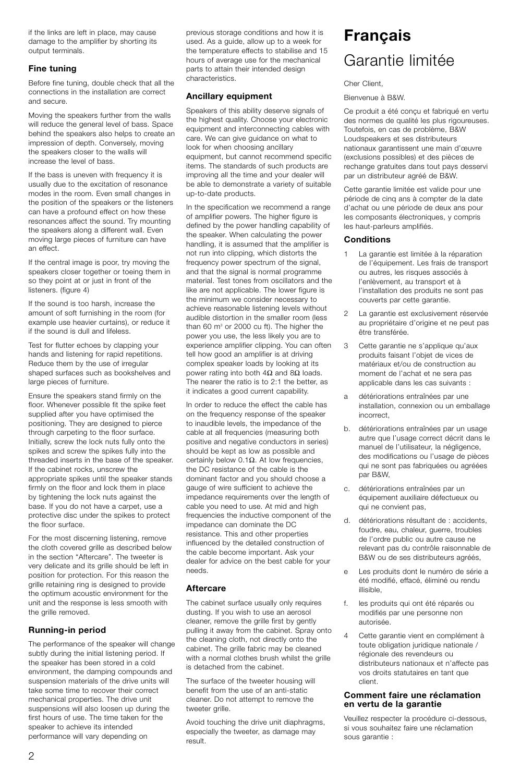if the links are left in place, may cause damage to the amplifier by shorting its output terminals.

#### **Fine tuning**

Before fine tuning, double check that all the connections in the installation are correct and secure.

Moving the speakers further from the walls will reduce the general level of bass. Space behind the speakers also helps to create an impression of depth. Conversely, moving the speakers closer to the walls will increase the level of bass.

If the bass is uneven with frequency it is usually due to the excitation of resonance modes in the room. Even small changes in the position of the speakers or the listeners can have a profound effect on how these resonances affect the sound. Try mounting the speakers along a different wall. Even moving large pieces of furniture can have an effect.

If the central image is poor, try moving the speakers closer together or toeing them in so they point at or just in front of the listeners. (figure 4)

If the sound is too harsh, increase the amount of soft furnishing in the room (for example use heavier curtains), or reduce it if the sound is dull and lifeless.

Test for flutter echoes by clapping your hands and listening for rapid repetitions. Reduce them by the use of irregular shaped surfaces such as bookshelves and large pieces of furniture.

Ensure the speakers stand firmly on the floor. Whenever possible fit the spike feet supplied after you have optimised the positioning. They are designed to pierce through carpeting to the floor surface. Initially, screw the lock nuts fully onto the spikes and screw the spikes fully into the threaded inserts in the base of the speaker. If the cabinet rocks, unscrew the appropriate spikes until the speaker stands firmly on the floor and lock them in place by tightening the lock nuts against the base. If you do not have a carpet, use a protective disc under the spikes to protect the floor surface.

For the most discerning listening, remove the cloth covered grille as described below in the section "Aftercare". The tweeter is very delicate and its grille should be left in position for protection. For this reason the grille retaining ring is designed to provide the optimum acoustic environment for the unit and the response is less smooth with the grille removed.

#### **Running-in period**

The performance of the speaker will change subtly during the initial listening period. If the speaker has been stored in a cold environment, the damping compounds and suspension materials of the drive units will take some time to recover their correct mechanical properties. The drive unit suspensions will also loosen up during the first hours of use. The time taken for the speaker to achieve its intended performance will vary depending on

previous storage conditions and how it is used. As a guide, allow up to a week for the temperature effects to stabilise and 15 hours of average use for the mechanical parts to attain their intended design .<br>characteristics

#### **Ancillary equipment**

Speakers of this ability deserve signals of the highest quality. Choose your electronic equipment and interconnecting cables with care. We can give guidance on what to look for when choosing ancillary equipment, but cannot recommend specific items. The standards of such products are improving all the time and your dealer will be able to demonstrate a variety of suitable up-to-date products.

In the specification we recommend a range of amplifier powers. The higher figure is defined by the power handling capability of the speaker. When calculating the power handling, it is assumed that the amplifier is not run into clipping, which distorts the frequency power spectrum of the signal, and that the signal is normal programme material. Test tones from oscillators and the like are not applicable. The lower figure is the minimum we consider necessary to achieve reasonable listening levels without audible distortion in the smaller room (less than 60 m<sup>3</sup> or 2000 cu ft). The higher the power you use, the less likely you are to experience amplifier clipping. You can often tell how good an amplifier is at driving complex speaker loads by looking at its power rating into both  $4\Omega$  and  $8\Omega$  loads. The nearer the ratio is to 2:1 the better, as it indicates a good current capability.

In order to reduce the effect the cable has on the frequency response of the speaker to inaudible levels, the impedance of the cable at all frequencies (measuring both positive and negative conductors in series) should be kept as low as possible and certainly below 0.1Ω. At low frequencies, the DC resistance of the cable is the dominant factor and you should choose a gauge of wire sufficient to achieve the impedance requirements over the length of cable you need to use. At mid and high frequencies the inductive component of the impedance can dominate the DC resistance. This and other properties influenced by the detailed construction of the cable become important. Ask your dealer for advice on the best cable for your needs.

#### **Aftercare**

The cabinet surface usually only requires dusting. If you wish to use an aerosol cleaner, remove the grille first by gently pulling it away from the cabinet. Spray onto the cleaning cloth, not directly onto the cabinet. The grille fabric may be cleaned with a normal clothes brush whilst the grille is detached from the cabinet.

The surface of the tweeter housing will benefit from the use of an anti-static cleaner. Do not attempt to remove the tweeter grille.

Avoid touching the drive unit diaphragms, especially the tweeter, as damage may result.

## **Français** Garantie limitée

Cher Client

Bienvenue à B&W.

Ce produit a été conçu et fabriqué en vertu des normes de qualité les plus rigoureuses. Toutefois, en cas de problème, B&W Loudspeakers et ses distributeurs nationaux garantissent une main d'œuvre (exclusions possibles) et des pièces de rechange gratuites dans tout pays desservi par un distributeur agréé de B&W.

Cette garantie limitée est valide pour une période de cinq ans à compter de la date d'achat ou une période de deux ans pour les composants électroniques, y compris les haut-parleurs amplifiés.

#### **Conditions**

- La garantie est limitée à la réparation de l'équipement. Les frais de transport ou autres, les risques associés à l'enlèvement, au transport et à l'installation des produits ne sont pas couverts par cette garantie.
- 2 La garantie est exclusivement réservée au propriétaire d'origine et ne peut pas être transférée.
- 3 Cette garantie ne s'applique qu'aux produits faisant l'objet de vices de matériaux et/ou de construction au moment de l'achat et ne sera pas applicable dans les cas suivants :
- a détériorations entraînées par une installation, connexion ou un emballage incorrect,
- b. détériorations entraînées par un usage autre que l'usage correct décrit dans le manuel de l'utilisateur, la négligence, des modifications ou l'usage de pièces qui ne sont pas fabriquées ou agréées par B&W,
- c. détériorations entraînées par un équipement auxiliaire défectueux ou qui ne convient pas,
- d. détériorations résultant de : accidents, foudre, eau, chaleur, guerre, troubles de l'ordre public ou autre cause ne relevant pas du contrôle raisonnable de B&W ou de ses distributeurs agréés,
- e Les produits dont le numéro de série a été modifié, effacé, éliminé ou rendu illisible,
- f. les produits qui ont été réparés ou modifiés par une personne non autorisée.
- 4 Cette garantie vient en complément à toute obligation juridique nationale / régionale des revendeurs ou distributeurs nationaux et n'affecte pas vos droits statutaires en tant que client.

#### **Comment faire une réclamation en vertu de la garantie**

Veuillez respecter la procédure ci-dessous, si vous souhaitez faire une réclamation sous garantie :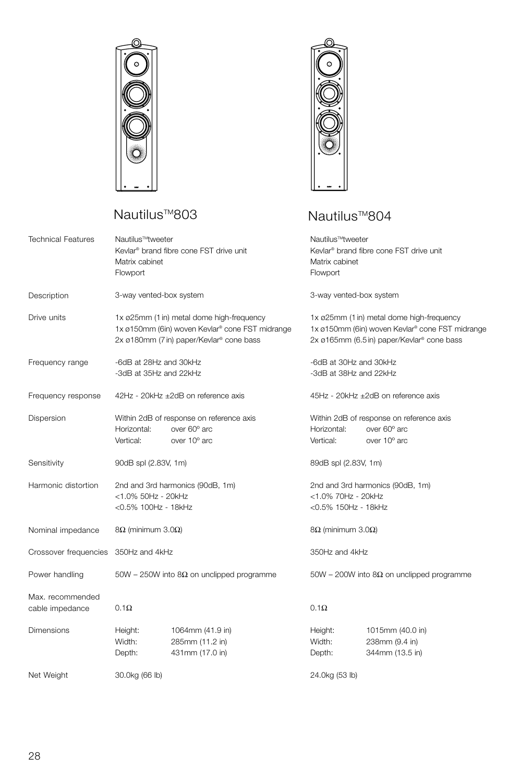

## Nautilus<sup>™803</sup> Nautilus<sup>™804</sup>



| Technical Features                   | Nautilus™tweeter<br>Matrix cabinet<br>Flowport                                                                                           | Kevlar <sup>®</sup> brand fibre cone FST drive unit                      | Nautilus™tweeter<br>Kevlar <sup>®</sup> brand fibre cone FST drive unit<br>Matrix cabinet<br>Flowport                                      |                                                                          |  |
|--------------------------------------|------------------------------------------------------------------------------------------------------------------------------------------|--------------------------------------------------------------------------|--------------------------------------------------------------------------------------------------------------------------------------------|--------------------------------------------------------------------------|--|
| Description                          | 3-way vented-box system                                                                                                                  |                                                                          | 3-way vented-box system                                                                                                                    |                                                                          |  |
| Drive units                          | 1x ø25mm (1 in) metal dome high-frequency<br>1x ø150mm (6in) woven Kevlar® cone FST midrange<br>2x ø180mm (7 in) paper/Kevlar® cone bass |                                                                          | 1x ø25mm (1 in) metal dome high-frequency<br>1x ø150mm (6in) woven Kevlar® cone FST midrange<br>2x ø165mm (6.5 in) paper/Kevlar® cone bass |                                                                          |  |
| Frequency range                      | -6dB at 28Hz and 30kHz<br>-3dB at 35Hz and 22kHz                                                                                         |                                                                          | -6dB at 30Hz and 30kHz<br>-3dB at 38Hz and 22kHz                                                                                           |                                                                          |  |
| Frequency response                   | 42Hz - 20kHz ±2dB on reference axis                                                                                                      |                                                                          |                                                                                                                                            | 45Hz - 20kHz ±2dB on reference axis                                      |  |
| Dispersion                           | Horizontal:<br>Vertical:                                                                                                                 | Within 2dB of response on reference axis<br>over 60° arc<br>over 10° arc | Horizontal:<br>Vertical:                                                                                                                   | Within 2dB of response on reference axis<br>over 60° arc<br>over 10° arc |  |
| Sensitivity                          | 90dB spl (2.83V, 1m)                                                                                                                     |                                                                          | 89dB spl (2.83V, 1m)                                                                                                                       |                                                                          |  |
| Harmonic distortion                  | 2nd and 3rd harmonics (90dB, 1m)<br><1.0% 50Hz - 20kHz<br><0.5% 100Hz - 18kHz                                                            |                                                                          | 2nd and 3rd harmonics (90dB, 1m)<br><1.0% 70Hz - 20kHz<br><0.5% 150Hz - 18kHz                                                              |                                                                          |  |
| Nominal impedance                    | $8Ω$ (minimum 3.0Ω)                                                                                                                      |                                                                          | $8Ω$ (minimum 3.0Ω)                                                                                                                        |                                                                          |  |
| Crossover frequencies 350Hz and 4kHz |                                                                                                                                          |                                                                          | 350Hz and 4kHz                                                                                                                             |                                                                          |  |
| Power handling                       | 50W - 250W into 8 $\Omega$ on unclipped programme                                                                                        |                                                                          | $50W - 200W$ into 8 $\Omega$ on unclipped programme                                                                                        |                                                                          |  |
| Max. recommended<br>cable impedance  | $0.1\Omega$                                                                                                                              |                                                                          | $0.1\Omega$                                                                                                                                |                                                                          |  |
| Dimensions                           | Height:<br>Width:<br>Depth:                                                                                                              | 1064mm (41.9 in)<br>285mm (11.2 in)<br>431mm (17.0 in)                   | Height:<br>Width:<br>Depth:                                                                                                                | 1015mm (40.0 in)<br>238mm (9.4 in)<br>344mm (13.5 in)                    |  |
| Net Weight                           | 30.0kg (66 lb)                                                                                                                           |                                                                          | 24.0kg (53 lb)                                                                                                                             |                                                                          |  |